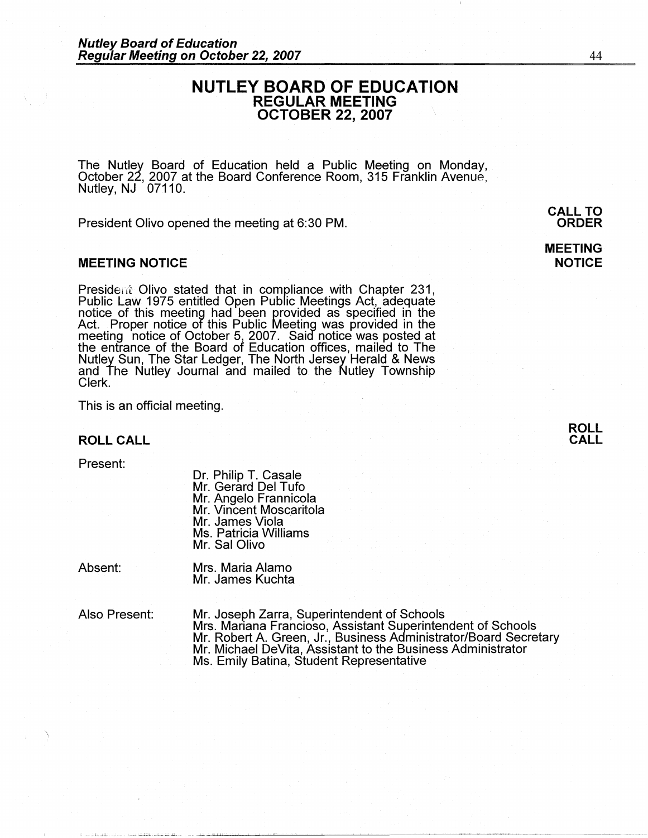### **NUTLEY BOARD OF EDUCATION REGULAR MEETING OCTOBER 22, 2007**

The Nutley Board of Education held a Public Meeting on Monday, October 22, 2007 at the Board Conference Room, 315 Franklin Avenue, Nutley, NJ 07110.

President Olivo opened the meeting at 6:30 PM.

#### **MEETING NOTICE**

President Olivo stated that in compliance with Chapter 231,<br>Public Law 1975 entitled Open Public Meetings Act, adequate<br>notice of this meeting had been provided as specified in the Act. Proper notice of this Public Meeting was provided in the meeting notice of October 5, 2007. Said notice was posted at the entrance of the Board of Education offices, mailed to The Nutley Sun, The Star Ledger, The North Jersey Herald & News and The Nutley Journal and mailed to the Nutley Township clerk.<br>Clerk.

This is an official meeting.

**ROLL CALL** 

Present:

Dr. Philip T. Casale Mr. Gerard Del Tufo Mr. Angelo Frannicola Mr. Vincent Moscaritola<br>Mr. James Viola Ms. Patricia Williams Mr. Sal Olivo

Absent:

Mrs. Maria Alamo Mr. James Kuchta

Also Present:

Mr. Joseph Zarra, Superintendent of Schools Mrs. Mariana Franciosa, Assistant Superintendent of Schools Mr. Robert A. Green, Jr., Business Administrator/Board Secretary Mr. Michael DeVita, Assistant to the Business Administrator Ms. Emily Batina, Student Representative

**CALL TO ORDER** 

**MEETING NOTICE** 

**ROLL CALL**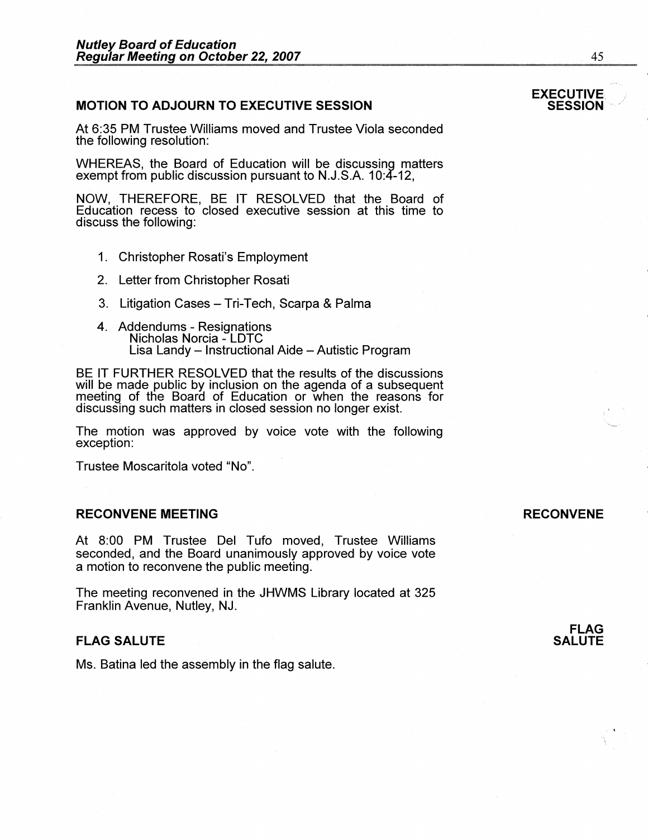### **MOTION TO ADJOURN TO EXECUTIVE SESSION**

At 6:35 PM Trustee Williams moved and Trustee Viola seconded the following resolution:

WHEREAS, the Board of Education will be discussing matters exempt from public discussion pursuant to N.J.S.A. 10:4-12,

**NOW,** THEREFORE, BE IT RESOLVED that the Board of Education recess to closed executive session at this time to discuss the following:

- 1. Christopher Rosati's Employment
- 2. Letter from Christopher Rosati
- 3. Litigation Cases Tri-Tech, Scarpa & Palma
- 4. Addendums Resignations Nicholas Norcia LDTC Lisa Landy - Instructional Aide - Autistic Program

BE IT FURTHER RESOLVED that the results of the discussions will be made public by inclusion on the agenda of a subsequent meeting of the Board of Education or when the reasons for discussing such matters in closed session no longer exist.

The motion was approved by voice vote with the following exception:

Trustee Moscaritola voted "No".

#### **RECONVENE MEETING**

At 8:00 PM Trustee Del Tufo moved, Trustee Williams seconded, and the Board unanimously approved by voice vote a motion to reconvene the public meeting.

The meeting reconvened in the JHWMS Library located at 325 Franklin Avenue, Nutley, NJ.

#### **FLAG SALUTE**

Ms. Batina led the assembly in the flag salute.

### **RECONVENE**

**FLAG SALUTE** 

# **EXECUTIVE**<br>**SESSION**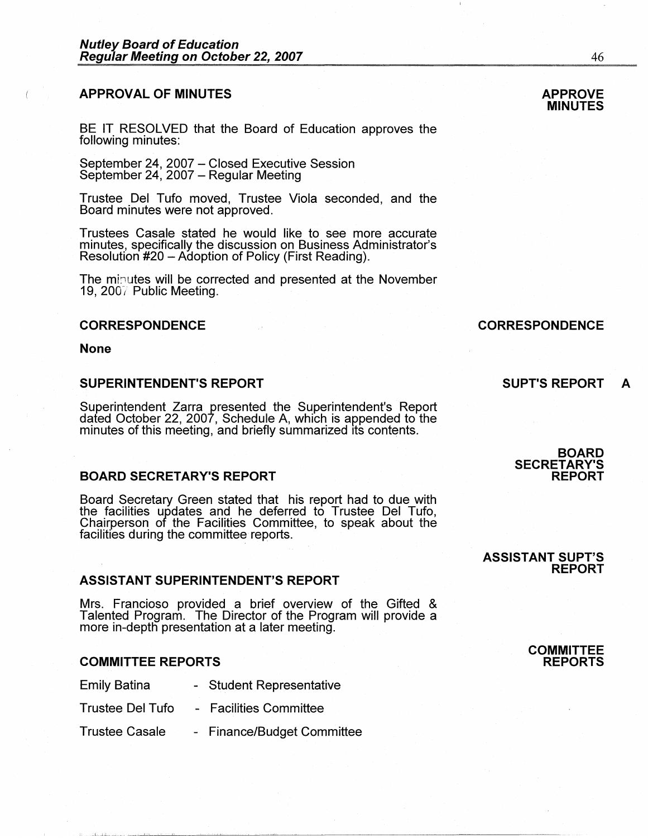#### **APPROVAL OF MINUTES**

BE IT RESOLVED that the Board of Education approves the following minutes:

September 24, 2007 - Closed Executive Session September 24, 2007 – Regular Meeting

Trustee Del Tufo moved, Trustee Viola seconded, and the Board minutes were not approved.

Trustees Casale stated he would like to see more accurate minutes, specifically the discussion on Business Administrator's Resolution #20 - Adoption of Policy (First Reading).

The minutes will be corrected and presented at the November 19, 200 $7$  Public Meeting.

#### **CORRESPONDENCE**

**None** 

#### **SUPERINTENDENT'S REPORT**

Superintendent Zarra presented the Superintendent's Report dated October 22, 2007, Schedule A, which is appended to the<br>minutes of this meeting, and briefly summarized its contents.

#### **BOARD SECRETARY'S REPORT**

Board Secretary Green stated that his report had to due with the facilities updates and he deferred to Trustee Del Tufo, Chairperson of the Facilities Committee, to speak about the facilities during the committee reports.

#### **ASSISTANT SUPERINTENDENT'S REPORT**

Mrs. Franciosa provided a brief overview of the Gifted & Talented Program. The Director of the Program will provide a more in-depth presentation at a later meeting.

#### **COMMITTEE REPORTS**

Emily Batina - Student Representative

- Trustee Del Tufo Facilities Committee
- Trustee Casale Finance/Budget Committee

**SUPT'S REPORT A** 

#### **BOARD SECRETARY'S REPORT**

**ASSISTANT SUPT'S** 

**REPORT** 

#### **APPROVE MINUTES**

## **CORRESPONDENCE**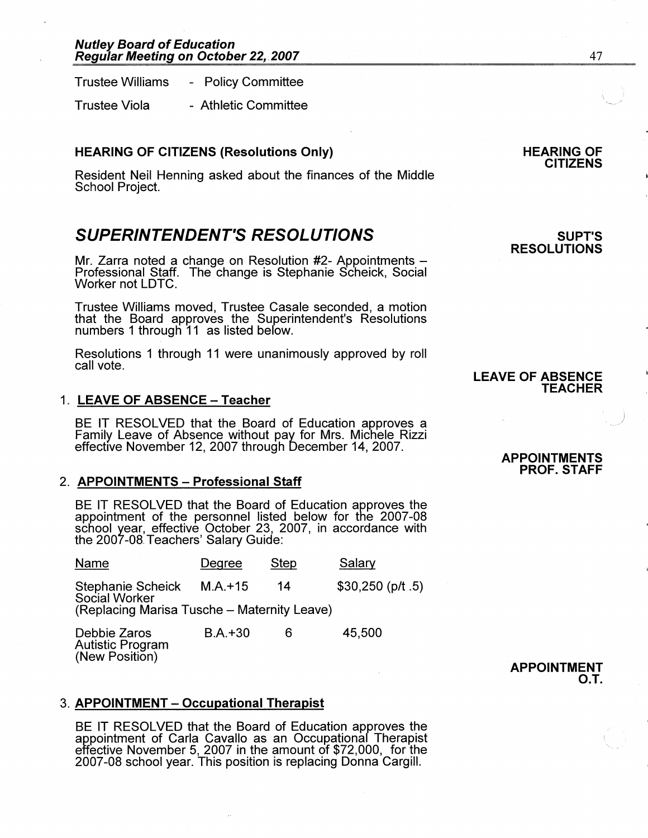Trustee Williams - Policy Committee

Trustee Viola - Athletic Committee

#### **HEARING OF CITIZENS (Resolutions Only)**

Resident Neil Henning asked about the finances of the Middle School Project.

## **SUPERINTENDENT'S RESOLUTIONS**

Mr. Zarra noted a change on Resolution #2- Appointments -Professional Staff. The change is Stephanie Scheick, Social Worker not LDTC.

Trustee Williams moved, Trustee Casale seconded, a motion that the Board approves the Superintendent's Resolutions numbers 1 througli 11 as listed befow.

Resolutions 1 through 11 were unanimously approved by roll call vote.

#### 1. **LEAVE OF ABSENCE - Teacher**

BE IT RESOLVED that the Board of Education approves a Family Leave of Absence without pay for Mrs. Michele Rizzi effective November 12, 2007 through December 14, 2007.

#### 2. **APPOINTMENTS - Professional Staff**

BE IT RESOLVED that the Board of Education approves the appointment of the personnel listed below for the 2007-08 school year, effective October 23, 2007, in accordance with the 2007-08 Teachers' Salary Guide:

| Name                                        | Degree    | <b>Step</b> | Salary             |
|---------------------------------------------|-----------|-------------|--------------------|
| Stephanie Scheick<br>Social Worker          | $M.A.+15$ | 14          | $$30,250$ (p/t .5) |
| (Replacing Marisa Tusche – Maternity Leave) |           |             |                    |

| Debbie Zaros     | $B.A.+30$ | 45,500 |
|------------------|-----------|--------|
| Autistic Program |           |        |
| (New Position)   |           |        |

## 3. **APPOINTMENT - Occupational Therapist**

BE IT RESOLVED that the Board of Education approves the appointment of Carla Cavallo as an Occupationaf Therapist effective November 5, 2007 in the amount of \$72,000, for the 2007-08 school year. This position is replacing Donna Cargill.

#### **HEARING OF CITIZENS**

#### **SUPT'S RESOLUTIONS**

### **LEAVE OF ABSENCE TEACHER**

#### **APPOINTMENTS PROF. STAFF**

#### **APPOINTMENT O.T.**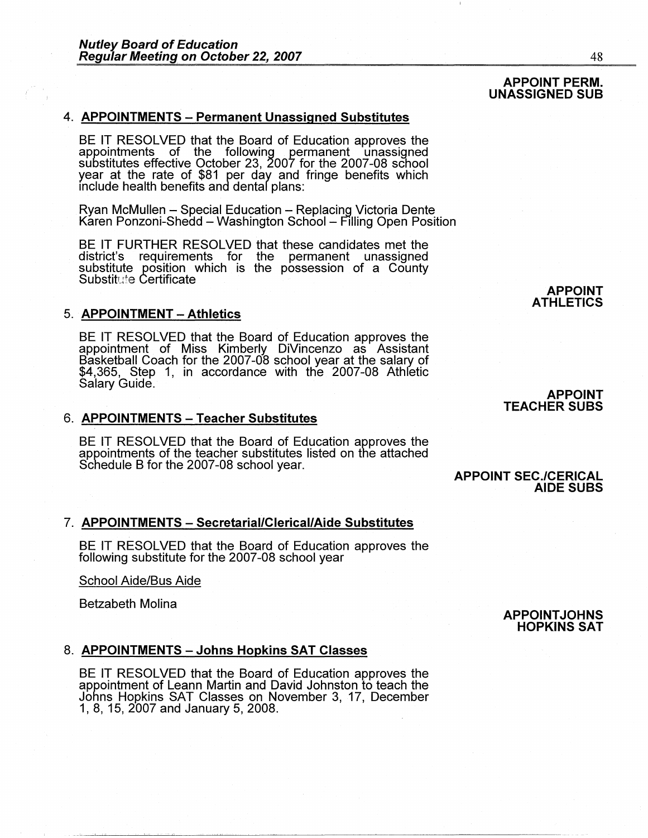#### 4. **APPOINTMENTS** - **Permanent Unassigned Substitutes**

BE IT RESOLVED that the Board of Education approves the appointments of the following permanent unassigned substitutes effective October 23, 2007 for the 2007-08 school year at the rate of \$81 per day and fringe benefits which include health benefits and dental plans:

Ryan McMullen - Special Education - Replacing Victoria Dente Karen Ponzoni-Shedd – Washington School – Filling Open Position

BE IT FURTHER RESOLVED that these candidates met the district's requirements for the permanent unassigned substitute position which is the possession of a County Substitute Certificate

#### 5. **APPOINTMENT** - **Athletics**

BE IT RESOLVED that the Board of Education approves the appointment of Miss Kimberly DiVincenzo as Assistant Basketball Coach for the 2007-08 school year at the salary of \$4,365, Step 1, in accordance with the 2007-08 Athfetic Salary Guide.

#### 6. **APPOINTMENTS** - **Teacher Substitutes**

BE IT RESOLVED that the Board of Education approves the appointments of the teacher substitutes listed on the attached Schedule B for the 2007-08 school year.

#### 7. **APPOINTMENTS** - **Secretarial/Clerical/Aide Substitutes**

BE IT RESOLVED that the Board of Education approves the following substitute for the 2007-08 school year

School Aide/Bus Aide

Betzabeth Molina

#### 8. **APPOINTMENTS - Johns Hopkins SAT Classes**

BE IT RESOLVED that the Board of Education approves the appointment of Leann Martin and David Johnston to teach the Johns Hopkins SAT Classes on November 3, 17, December 1, 8, 15, 2007 and January 5, 2008.

**APPOINT ATHLETICS** 

#### **APPOINT TEACHER SUBS**

**AIDE SUBS** 

**APPOINT SEC./CERICAL** 

**APPOINT JOHNS HOPKINS SAT** 

**APPOINT PERM. UNASSIGNED SUB**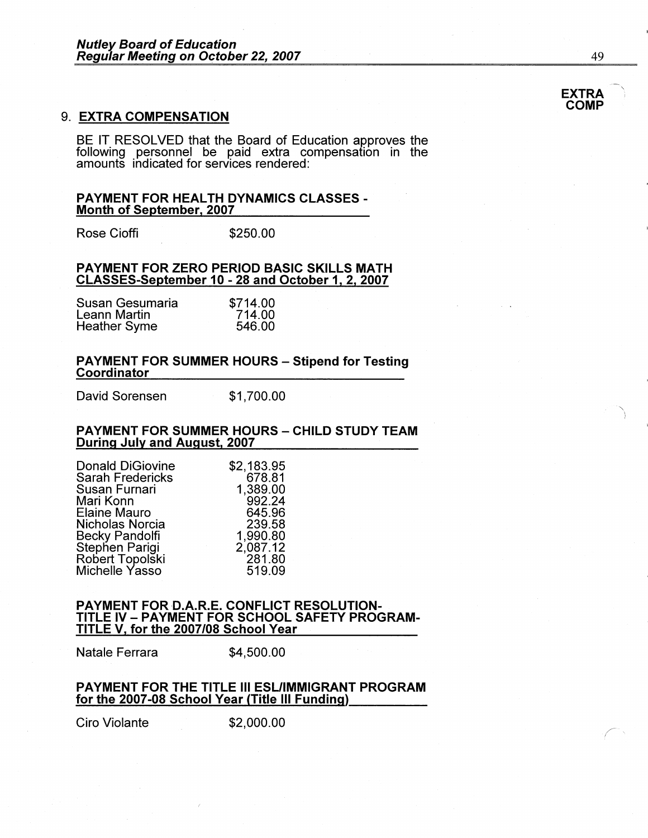#### 9. **EXTRA COMPENSATION**

BE IT RESOLVED that the Board of Education approves the following personnel be paid extra compensation in the amounts indicated for services rendered:

# **PAYMENT FOR HEALTH DYNAMICS CLASSES** - **Month of September, 2007**

Rose Cioffi **\$250.00** 

#### **PAYMENT FOR ZERO PERIOD BASIC SKILLS MATH CLASSES-September 10** - **28 and October 1, 2, 2007**

| Susan Gesumaria | \$714.00 |
|-----------------|----------|
| Leann Martin    | 714.00   |
| Heather Syme    | 546.00   |

# **PAYMENT FOR SUMMER HOURS - Stipend for Testing Coordinator**

David Sorensen \$1,700.00

#### **PAYMENT FOR SUMMER HOURS - CHILD STUDY TEAM During July and August, 2007**

| <b>Donald DiGiovine</b> | \$2,183.95 |
|-------------------------|------------|
| Sarah Fredericks        | 678.81     |
| Susan Furnari           | 1,389.00   |
| Mari Konn               | 992.24     |
| Elaine Mauro            | 645.96     |
| Nicholas Norcia         | 239.58     |
| Becky Pandolfi          | 1,990.80   |
| Stephen Parigi          | 2,087.12   |
| Robert Topolški         | 281.80     |
| Michelle Yasso          | 519.09     |
|                         |            |

#### **PAYMENT FOR D.A.R.E. CONFLICT RESOLUTION-**TITLE IV - **PAYMENT FOR SCHOOL SAFETY PROGRAM-**TITLE **V, for the 2007/08 School Year**

Natale Ferrara \$4,500.00

#### **PAYMENT** FOR THE TITLE Ill **ESUIMMIGRANT PROGRAM**  for the 2007-08 School Year (Title Ill Funding) \_\_\_\_ \_

Ciro Violante \$2,000.00

 $\mathbb{R}^2$ 

 $\bigg($ 

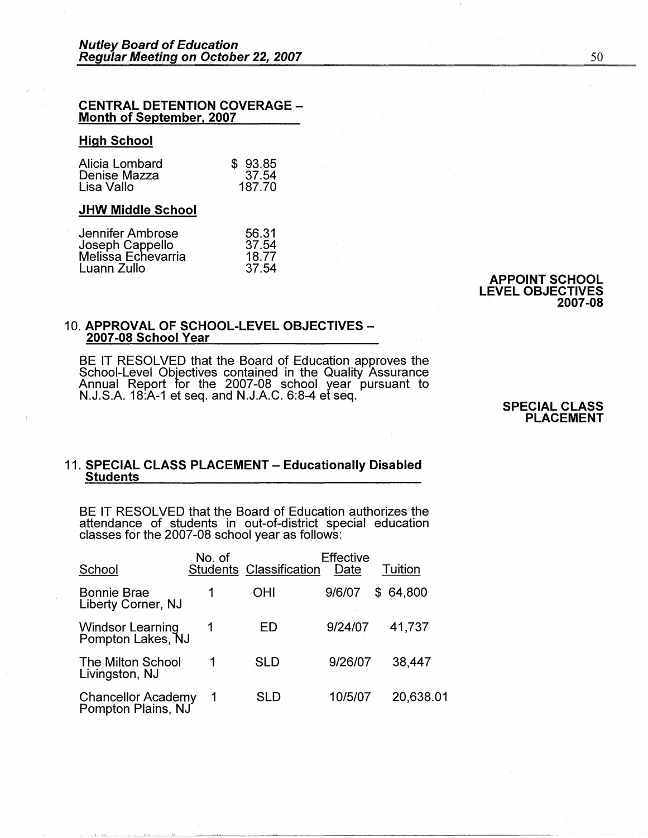# **CENTRAL DETENTION COVERAGE** - **Month of September, 2007**

#### **High School**

| Alicia Lombard | \$93.85 |
|----------------|---------|
| Denise Mazza   | 37.54   |
| Lisa Vallo     | 187.70  |

#### **JHW Middle School**

| 56.31 |
|-------|
| 37.54 |
| 18.77 |
| 37.54 |
|       |

**APPOINT SCHOOL LEVEL OBJECTIVES 2007-08** 

#### 10. **APPROVAL OF SCHOOL-LEVEL OBJECTIVES-2007-08 School Year**

BE IT RESOLVED that the Board of Education approves the School-Level Objectives contained in the Quality Assurance Annual Report for the 2007-08 school year pursuant to N.J.S.A. 18:A-1 et seq. and N.J.A.C. 6:8-4 et seq.

**SPECIAL CLASS PLACEMENT** 

#### 11. **SPECIAL CLASS PLACEMENT** - **Educationally Disabled Students**

BE IT RESOLVED that the Board of Education authorizes the attendance of students in out-of-district special education classes for the 2007-08 school year as follows:

| School                                          | No. of | <b>Students Classification</b> | <b>Effective</b><br>Date | Tuition   |
|-------------------------------------------------|--------|--------------------------------|--------------------------|-----------|
| <b>Bonnie Brae</b><br><b>Liberty Corner, NJ</b> |        | OHI                            | 9/6/07<br>S.             | 64,800    |
| <b>Windsor Learning</b><br>Pompton Lakes, NJ    |        | ED                             | 9/24/07                  | 41.737    |
| The Milton School<br>Livingston, NJ             |        | SLD                            | 9/26/07                  | 38,447    |
| <b>Chancellor Academy</b><br>Pompton Plains, NJ |        | SLD                            | 10/5/07                  | 20,638.01 |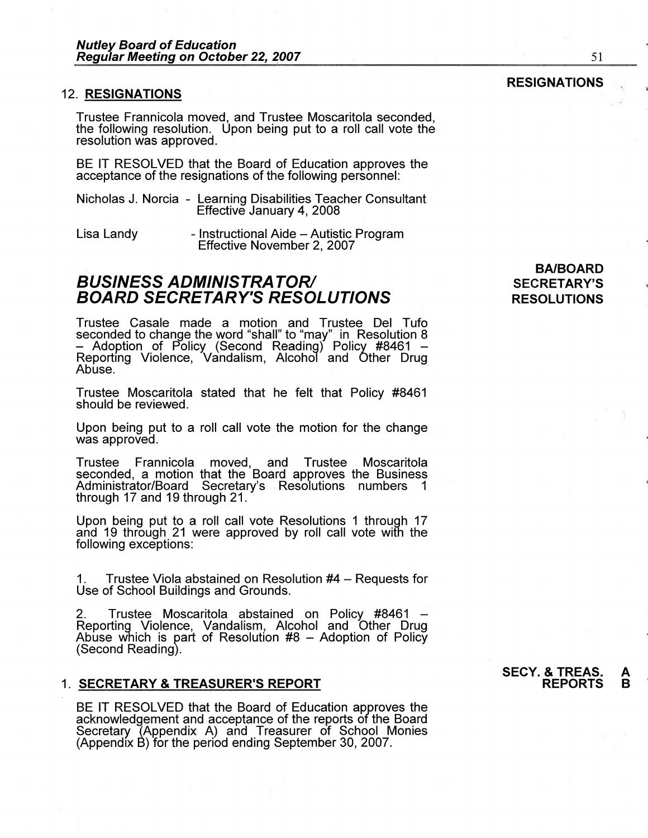#### 12. **RESIGNATIONS**

Trustee Frannicola moved, and Trustee Moscaritola seconded, the following resolution. Upon being put to a roll call vote the resolution was approved.

BE IT RESOLVED that the Board of Education approves the acceptance of the resignations of the following personnel:

| Nicholas J. Norcia - Learning Disabilities Teacher Consultant |
|---------------------------------------------------------------|
| Effective January 4, 2008                                     |

Lisa Landy - Instructional Aide - Autistic Program Effective November 2, 2007

### **BUSINESS ADMINISTRA TORI BOARD SECRETARY'S RESOLUTIONS**

Trustee Casale made a motion and Trustee Del Tufo seconded to change the word "shall" to "may" in Resolution 8 - Adoption of Policy (Second Reading) Policy #8461 - Reporting Violence, Vandalism, Alcohol and Other Drug<br>Abuse.

Trustee Moscaritola stated that he felt that Policy #8461 should be reviewed.

Upon being put to a roll call vote the motion for the change was approved.

Trustee Frannicola moved, and Trustee Moscaritola seconded, a motion that the Board approves the Business Administrator/Board Secretary's Resolutions numbers 1 through 17 and 19 through 21.

Upon being put to a roll call vote Resolutions 1 through 17 and 19 through 21 were approved by roll call vote with the following exceptions:

1. Trustee Viola abstained on Resolution #4 - Requests for Use of School Buildings and Grounds.

2. Trustee Moscaritola abstained on Policy: #8461 - Reporting Violence, Vandalism, Alcohol and Other Drug Abuse which is part of Resolution  $#8$  – Adoption of Policy (Second Reading).

#### 1. **SECRETARY & TREASURER'S REPORT**

BE IT RESOLVED that the Board of Education approves the acknowledgement and acceptance of the reports of the Board Secretary (Appendix A) and Treasurer of School Monies (Appendix B) for the period ending September 30, 2007.

### **BA/BOARD SECRETARY'S RESOLUTIONS**

#### **RESIGNATIONS**

51

#### **SECY. & TREAS. A REPORTS**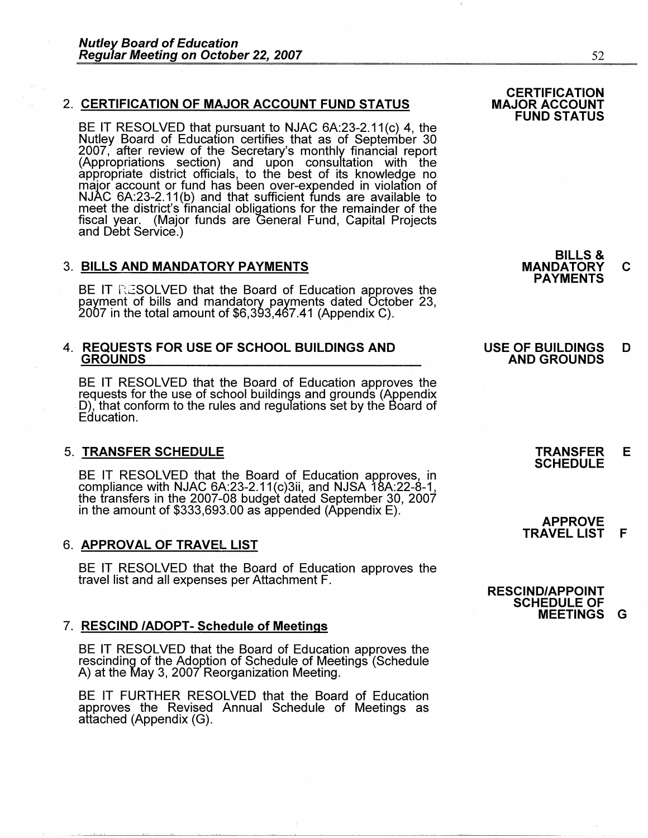#### 2. **CERTIFICATION OF MAJOR ACCOUNT FUND STATUS**

BE IT RESOLVED that pursuant to NJAC 6A:23-2.11(c) 4, the Nutley Board of Education certifies that as of September 30 2007, after review of the Secretary's monthly financial report (Appropriations section) and upon consultation with the appropriate district officials, to the best of its knowledge no major account or fund has been over-expended in violation of<br>NJAC 6A:23-2.11(b) and that sufficient funds are available to meet the district's financial obligations for the remainder of the fiscal year. (Major funds are General Fund, Capital Projects and Debt Service.)

#### 3. **BILLS AND MANDATORY PAYMENTS**

BE IT RESOLVED that the Board of Education approves the<br>payment of bills and mandatory payments dated October 23, 2007 in the total amount of \$6,393,467.41 (Appendix C).

#### **4. REQUESTS FOR USE OF SCHOOL BUILDINGS AND GROUNDS**

BE IT RESOLVED that the Board of Education approves the requests for the use of school buildings and grounds (Appendix D), that conform to the rules and regulations set by the Board of Education.

#### 5. **TRANSFER SCHEDULE**

BE IT RESOLVED that the Board of Education approves, in compliance with NJAC 6A:23-2.11(c)3ii, and NJSA 18A:22-8-1, the transfers in the 2007-08 budget dated September 30, 2007 in the amount of \$333,693.00 as appended (Appendix E).

#### 6. **APPROVAL OF TRAVEL LIST**

BE IT RESOLVED that the Board of Education approves the travel list and all expenses per Attachment F.

#### 7. **RESCIND /ADOPT- Schedule of Meetings**

BE IT RESOLVED that the Board of Education approves the rescinding of the Adoption of Schedule of Meetings (Schedule A) at the May 3, 2007 Reorganization Meeting.

BE IT FURTHER RESOLVED that the Board of Education approves the Revised Annual Schedule of Meetings as attached (Appendix (G).

**BILLS** & **MANDATORY C PAYMENTS** 

#### **USE OF BUILDINGS D AND GROUNDS**

**TRANSFER E SCHEDULE** 

**APPROVE TRAVEL LIST F** 

**RESCIND/APPOINT SCHEDULE OF MEETINGS G**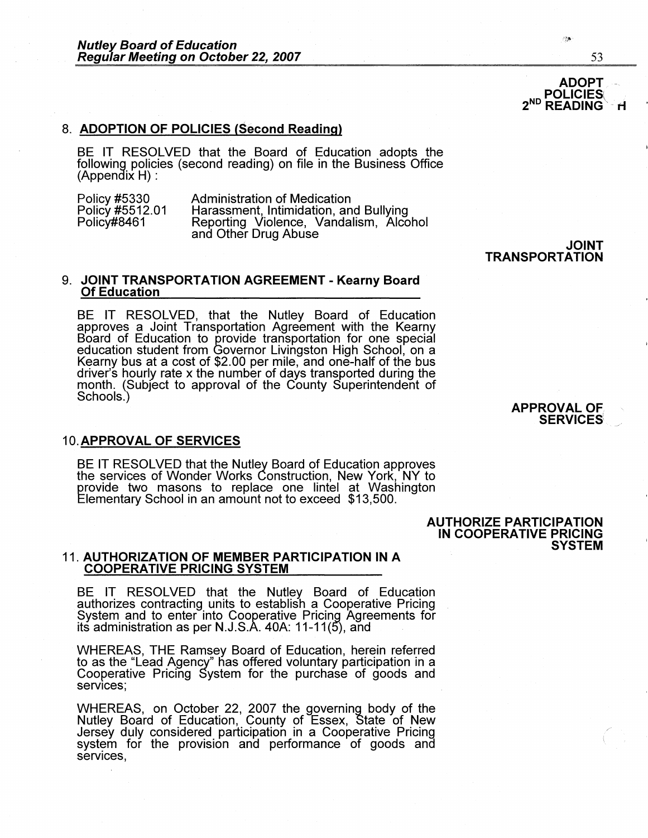#### 8. **ADOPTION OF POLICIES (Second Reading)**

BE IT RESOLVED that the Board of Education adopts the following policies (second reading) on file in the Business Office (Appendix **H)** :

| Policy #5330    | <b>Administration of Medication</b>    |
|-----------------|----------------------------------------|
| Policy #5512.01 | Harassment, Intimidation, and Bullying |
| Policy#8461     | Reporting Violence, Vandalism, Alcohol |
|                 | and Other Drug Abuse                   |

#### 9. **JOINT TRANSPORTATION AGREEMENT- Kearny Board Of Education**

BE IT RESOLVED, that the Nutley Board of Education approves a Joint Transportation Agreement with the Kearny Board of Education to provide transportation for one special education student from Governor Livingston High School, on a Kearny bus at a cost of \$2.00 per mile, and one-half of the bus driver's hourly rate x the number of days transported during the month. (Subject to approval of the County Superintendent of Schools.)

#### 10. **APPROVAL OF SERVICES**

BE IT RESOLVED that the Nutley Board of Education approves the services of Wonder Works Construction, New York, NY to provide two masons to replace one lintel at Washington Elementary School in an amount not to exceed \$13,500.

#### 11. **AUTHORIZATION OF MEMBER PARTICIPATION IN A COOPERATIVE PRICING SYSTEM**

BE IT RESOLVED that the Nutley Board of Education authorizes contracting units to establish a Cooperative Pricing System and to enter into Cooperative Pricing Agreements for its administration as per N.J.S.A. 40A: 11-11(5), and

WHEREAS, THE Ramsey Board of Education, herein referred to as the "Lead Agency" has offered voluntary participation in a Cooperative Pricing System for the purchase of goods and services;

WHEREAS, on October 22, 2007 the governing body of the Nutley Board of Education, County of Essex, State of New Jersey duly considered participation in a Cooperative Pricing system for the provision and performance of goods and services,

**APPROVAL OF SERVICES** 

**SYSTEM** 

**AUTHORIZE PARTICIPATION IN COOPERATIVE PRICING** 

**JOINT** 

**TRANSPORTATION** 

**ADOPT POLICIES**  $2<sup>ND</sup>$ **READING** 

''f:.~·'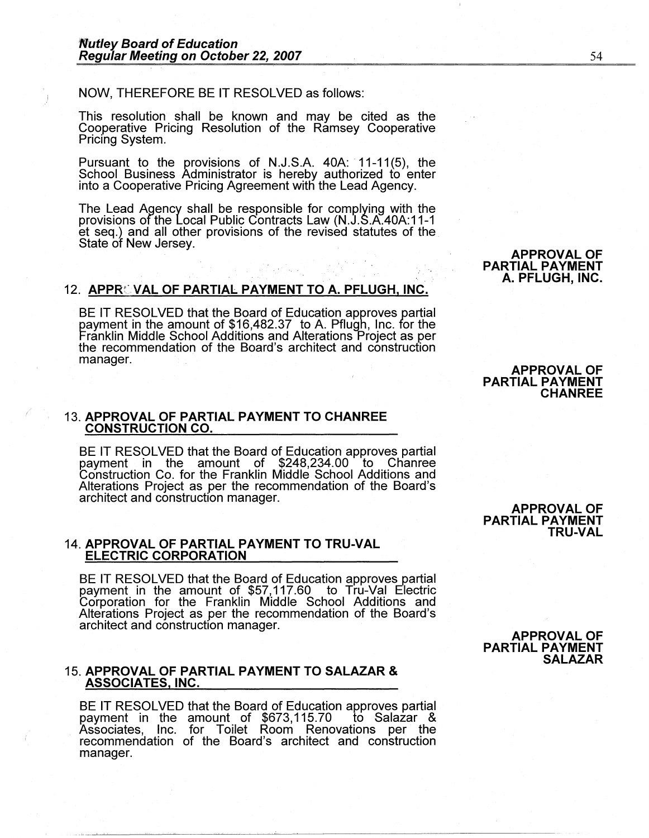#### **NOW,** THEREFORE BE IT RESOLVED as follows:

This resolution shall be known and may be cited as the Cooperative Pricing Resolution of the Ramsey Cooperative Pricing System.

Pursuant to the provisions of N.J.S.A. 40A: 11-11(5), the School Business Administrator is hereby authorized to enter into a Cooperative Pricing Agreement with the Lead Agency.

The Lead Agency shall be responsible for complying with the provisions of the Local Public Contracts Law (N.J.S.A.40A:11-1 et seq.) and all other provisions of the revised statutes of the State of New Jersey.

#### 12. APPROVAL OF PARTIAL PAYMENT TO A. PFLUGH, INC.

BE IT RESOLVED that the Board of Education approves partial payment in the amount of \$16,482.37 to A. Pflugh, Inc. for the Franklin Middle School Additions and Alterations Project as per the recommendation of the Board's architect and construction manager.

#### 13. **APPROVAL OF PARTIAL PAYMENT TO CHANREE CONSTRUCTION CO.**

BE IT RESOLVED that the Board of Education approves partial payment in the amount of \$248,234.00 to Chanree Construction Co. for the Franklin Middle School Additions and Alterations Project as per the recommendation of the Board's architect and construction manager.

#### 14. **APPROVAL OF PARTIAL PAYMENT TO TRU-VAL ELECTRIC CORPORATION**

BE IT RESOLVED that the Board of Education approves partial payment in the amount of \$57,117.60 to Tru-Val Electric Corporation for the Franklin Middle School Additions and Alterations Project as per the recommendation of the Board's architect and construction manager.

#### 15. **APPROVAL OF PARTIAL PAYMENT TO SALAZAR** & **ASSOCIATES, INC.**

BE IT RESOLVED that the Board of Education approves partial payment in the amount of \$673,115.70 to Salazar & Associates, Inc. for Toilet Room Renovations per the recommendation of the Board's architect and construction manager.

**APPROVAL OF PARTIAL PAYMENT** 

**APPROVAL OF PARTIAL PAYMENT** 

**TRU-VAL** 

**SALAZAR** 

#### **APPROVAL OF PARTIAL PAYMENT CHANREE**

**APPROVAL OF PARTIAL PAYMENT A. PFLUGH, INC.**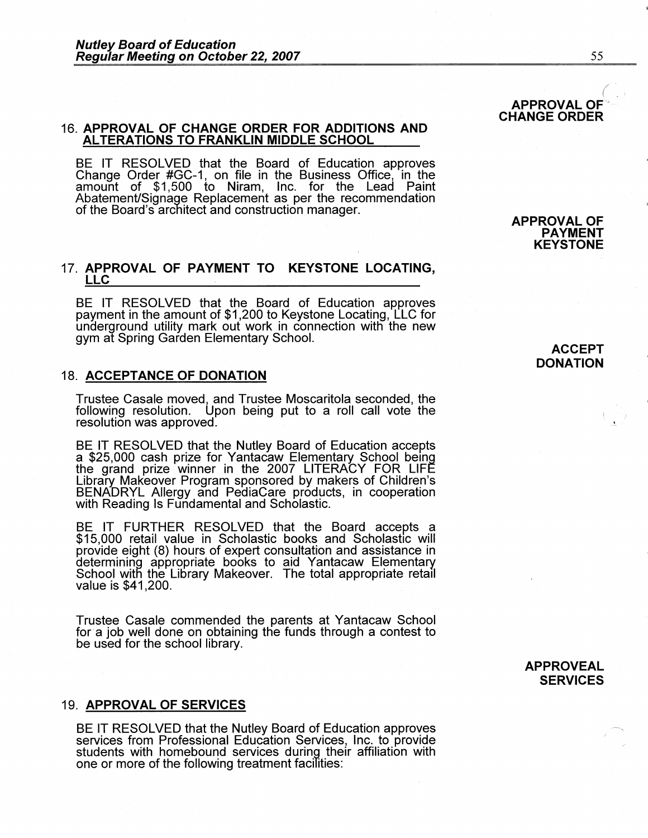#### 16. **APPROVAL OF CHANGE ORDER FOR ADDITIONS AND ALTERATIONS TO FRANKLIN MIDDLE SCHOOL**

BE IT RESOLVED that the Board of Education approves Change Order #GC-1, on file in the Business Office, in the amount of \$1,500 to Niram, Inc. for the Lead Paint Abatement/Signage Replacement as per the recommendation of the Board's architect and construction manager.

#### 17. **APPROVAL OF PAYMENT TO KEYSTONE LOCATING, LLC**

BE IT RESOLVED that the Board of Education approves payment in the amount of \$1,200 to Keystone Locating, LLC for underground utility mark out work in connection with the new gym at Spring Garden Elementary School.

#### 18. **ACCEPTANCE OF DONATION**

Trustee Casale moved, and Trustee Moscaritola seconded, the following resolution. Upon being put to a roll call vote the resolution was approved.

BE IT RESOLVED that the Nutley Board of Education accepts a \$25,000 cash prize for Yantacaw Elementary School being the grand prize winner in the 2007 LITERACY FOR LIFE Library Makeover Program sponsored by makers of Children's BENADRYL Allergy and PediaCare products, in cooperation with Reading Is Fundamental and Scholastic.

BE IT FURTHER RESOLVED that the Board accepts a \$15,000 retail value in Scholastic books and Scholastic will provide eight (8) hours of expert consultation and assistance in determining appropriate books to aid Yantacaw Elementary School witfl the Library Makeover. The total appropriate retail value is \$41,200.

Trustee Casale commended the parents at Yantacaw School for a job well done on obtaining the funds through a contest to be used for the school library.

#### 19. **APPROVAL OF SERVICES**

BE IT RESOLVED that the Nutley Board of Education approves services from Professional Education Services, Inc. to provide students with homebound services during their affiliation with one or more of the following treatment facilities:

**ACCEPT DONATION** 

#### **APPROVEAL SERVICES**

**APPROVAL OF CHANGE ORDER** 

> **APPROVAL OF PAYMENT KEYSTONE**

/-  $( \quad , \quad )$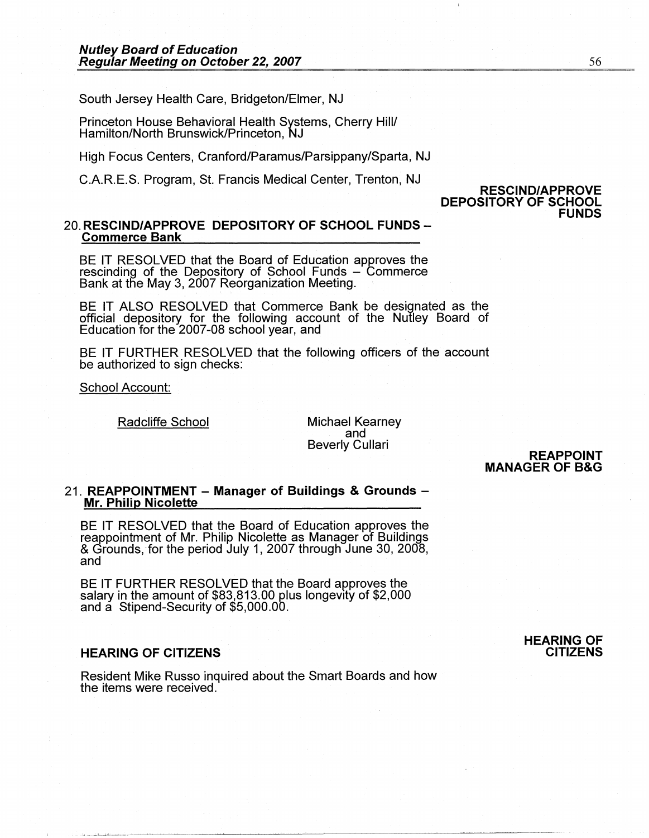South Jersey Health Care, Bridgeton/Elmer, NJ

Princeton House Behavioral Health Systems, Cherry Hill/ Hamilton/North Brunswick/Princeton, NJ

High Focus Centers, Cranford/Paramus/Parsippany/Sparta, NJ

C.A.R.E.S. Program, St. Francis Medical Center, Trenton, NJ

#### **RESCIND/APPROVE DEPOSITORY OF SCHOOL FUNDS**

# 20. **RESCIND/APPROVE DEPOSITORY OF SCHOOL FUNDS** - **Commerce Bank**

BE IT RESOLVED that the Board of Education approves the rescinding of the Depository of School Funds - Commerce Bank at the May 3, 2007 Reorganization Meeting.

BE IT ALSO RESOLVED that Commerce Bank be designated as the official depository for the following account of the Nutley Board of Education for the 2007-08 school year, and

BE IT FURTHER RESOLVED that the following officers of the account be authorized to sign checks:

School Account:

Radcliffe School Michael Kearney and Beverly Cullari

**REAPPOINT MANAGER OF B&G** 

# 21. **REAPPOINTMENT** - **Manager of Buildings** & **Grounds** - **Mr. Philip Nicolette**

BE IT RESOLVED that the Board of Education approves the reappointment of Mr. Philip Nicolette as Manager of Buildings & Grounds, for the period July 1, 2007 through June 30, 2008, and

BE IT FURTHER RESOLVED that the Board approves the salary in the amount of \$83,813.00 plus longevity of \$2,000 and a Stipend-Security of \$5,000.00.

### **HEARING OF CITIZENS**

Resident Mike Russo inquired about the Smart Boards and how the items were received.

#### **HEARING OF CITIZENS**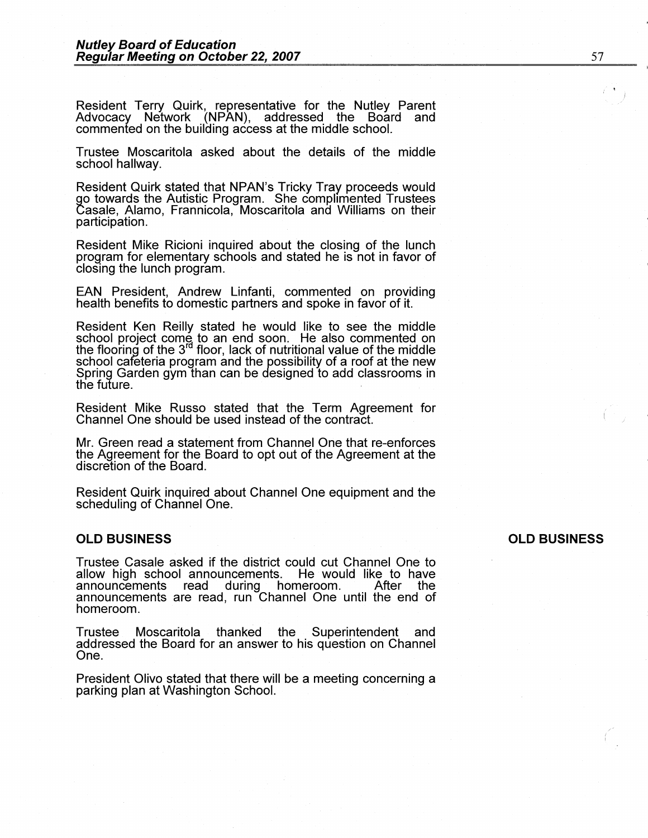Resident Terry Quirk, representative for the Nutley Parent Advocacy Network (NPAN), addressed the Board and commented on the building access at the middle school.

Trustee Moscaritola asked about the details of the middle school hallway.

Resident Quirk stated that NPAN's Tricky Tray proceeds would go towards the Autistic Program. She complimented Trustees Casale, Alamo, Frannicola, Moscaritola and Williams on their participation.

Resident Mike Ricioni inquired about the closing of the lunch program for elementary schools and stated he is not in favor of closing the lunch program.

EAN President, Andrew Linfanti, commented on providing health benefits to domestic partners and spoke in favor of it.

Resident Ken Reilly stated he would like to see the middle school project come to an end soon. He also commented on the flooring of the 3<sup>rd</sup> floor, lack of nutritional value of the middle school cafeteria program and the possibility of a roof at the new Spring Garden gym than can be designed to add classrooms in the future. .

Resident Mike Russo stated that the Term Agreement for Channel One should be used instead of the contract.

Mr. Green read a statement from Channel One that re-enforces the Agreement for the Board to opt out of the Agreement at the discretion of the Board.

Resident Quirk inquired about Channel One equipment and the scheduling of Channel One.

#### **OLD BUSINESS**

Trustee Casale asked if the district could cut Channel One to allow high school announcements. He would like to have announcements read during homeroom. After the announcements are read, run Channel One until the end of homeroom.

Trustee Moscaritola thanked the Superintendent and addressed the Board for an answer to his question on Channel One.

President Olivo stated that there will be a meeting concerning a parking plan at Washington School.

#### **OLD BUSINESS**